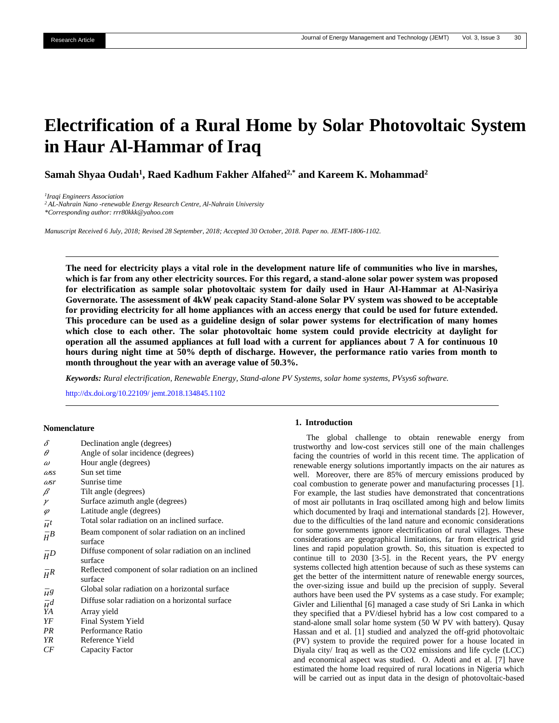# **Electrification of a Rural Home by Solar Photovoltaic System in Haur Al-Hammar of Iraq**

**Samah Shyaa Oudah<sup>1</sup> , Raed Kadhum Fakher Alfahed2,\* and Kareem K. Mohammad<sup>2</sup>**

*1 Iraqi Engineers Association <sup>2</sup> AL-Nahrain Nano -renewable Energy Research Centre, Al-Nahrain University \*Corresponding author: rrr80kkk@yahoo.com*

*Manuscript Received 6 July, 2018; Revised 28 September, 2018; Accepted 30 October, 2018. Paper no. JEMT-1806-1102.*

**The need for electricity plays a vital role in the development nature life of communities who live in marshes, which is far from any other electricity sources. For this regard, a stand-alone solar power system was proposed for electrification as sample solar photovoltaic system for daily used in Haur Al-Hammar at Al-Nasiriya Governorate. The assessment of 4kW peak capacity Stand-alone Solar PV system was showed to be acceptable for providing electricity for all home appliances with an access energy that could be used for future extended. This procedure can be used as a guideline design of solar power systems for electrification of many homes which close to each other. The solar photovoltaic home system could provide electricity at daylight for operation all the assumed appliances at full load with a current for appliances about 7 A for continuous 10 hours during night time at 50% depth of discharge. However, the performance ratio varies from month to month throughout the year with an average value of 50.3%.**

*Keywords: Rural electrification, Renewable Energy, Stand-alone PV Systems, solar home systems, PVsys6 software.*

<http://dx.doi.org/10.22109/> jemt.2018.134845.1102

#### **Nomenclature**

| Declination angle (degrees)                                      |
|------------------------------------------------------------------|
| Angle of solar incidence (degrees)                               |
| Hour angle (degrees)                                             |
| Sun set time                                                     |
| Sunrise time                                                     |
| Tilt angle (degrees)                                             |
| Surface azimuth angle (degrees)                                  |
| Latitude angle (degrees)                                         |
| Total solar radiation on an inclined surface.                    |
| Beam component of solar radiation on an inclined<br>surface      |
| Diffuse component of solar radiation on an inclined<br>surface   |
| Reflected component of solar radiation on an inclined<br>surface |
| Global solar radiation on a horizontal surface                   |
| Diffuse solar radiation on a horizontal surface                  |
| Array yield                                                      |
| Final System Yield                                               |
| Performance Ratio                                                |
| Reference Yield                                                  |
| Capacity Factor                                                  |
|                                                                  |

# **1. Introduction**

The global challenge to obtain renewable energy from trustworthy and low-cost services still one of the main challenges facing the countries of world in this recent time. The application of renewable energy solutions importantly impacts on the air natures as well. Moreover, there are 85% of mercury emissions produced by coal combustion to generate power and manufacturing processes [1]. For example, the last studies have demonstrated that concentrations of most air pollutants in Iraq oscillated among high and below limits which documented by Iraqi and international standards [2]. However, due to the difficulties of the land nature and economic considerations for some governments ignore electrification of rural villages. These considerations are geographical limitations, far from electrical grid lines and rapid population growth. So, this situation is expected to continue till to 2030 [3-5]. in the Recent years, the PV energy systems collected high attention because of such as these systems can get the better of the intermittent nature of renewable energy sources, the over-sizing issue and build up the precision of supply. Several authors have been used the PV systems as a case study. For example; Givler and Lilienthal [6] managed a case study of Sri Lanka in which they specified that a PV/diesel hybrid has a low cost compared to a stand-alone small solar home system (50 W PV with battery). Qusay Hassan and et al. [1] studied and analyzed the off-grid photovoltaic (PV) system to provide the required power for a house located in Diyala city/ Iraq as well as the CO2 emissions and life cycle (LCC) and economical aspect was studied. O. Adeoti and et al. [7] have estimated the home load required of rural locations in Nigeria which will be carried out as input data in the design of photovoltaic-based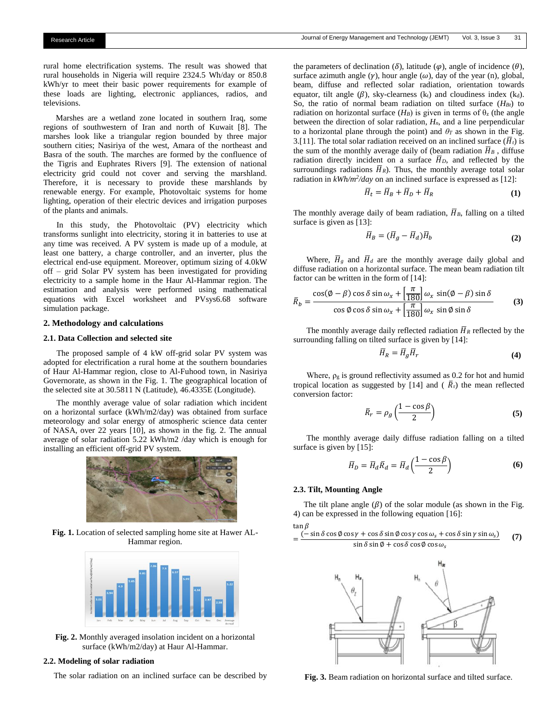rural home electrification systems. The result was showed that rural households in Nigeria will require 2324.5 Wh/day or 850.8 kWh/yr to meet their basic power requirements for example of these loads are lighting, electronic appliances, radios, and televisions.

 Marshes are a wetland zone located in southern Iraq, some regions of southwestern of Iran and north of Kuwait [8]. The marshes look like a triangular region bounded by three major southern cities; Nasiriya of the west, Amara of the northeast and Basra of the south. The marches are formed by the confluence of the Tigris and Euphrates Rivers [9]. The extension of national electricity grid could not cover and serving the marshland. Therefore, it is necessary to provide these marshlands by renewable energy. For example, Photovoltaic systems for home lighting, operation of their electric devices and irrigation purposes of the plants and animals.

In this study, the Photovoltaic (PV) electricity which transforms sunlight into electricity, storing it in batteries to use at any time was received. A PV system is made up of a module, at least one battery, a charge controller, and an inverter, plus the electrical end-use equipment. Moreover, optimum sizing of 4.0kW off – grid Solar PV system has been investigated for providing electricity to a sample home in the Haur Al-Hammar region. The estimation and analysis were performed using mathematical equations with Excel worksheet and PVsys6.68 software simulation package.

#### **2. Methodology and calculations**

# **2.1. Data Collection and selected site**

The proposed sample of 4 kW off-grid solar PV system was adopted for electrification a rural home at the southern boundaries of Haur Al-Hammar region, close to Al-Fuhood town, in Nasiriya Governorate, as shown in the Fig. 1. The geographical location of the selected site at 30.5811 N (Latitude), 46.4335E (Longitude).

The monthly average value of solar radiation which incident on a horizontal surface (kWh/m2/day) was obtained from surface meteorology and solar energy of atmospheric science data center of NASA, over 22 years [10], as shown in the fig. 2. The annual average of solar radiation 5.22 kWh/m2 /day which is enough for installing an efficient off-grid PV system.



**Fig. 1.** Location of selected sampling home site at Hawer AL-Hammar region.



**Fig. 2.** Monthly averaged insolation incident on a horizontal surface (kWh/m2/day) at Haur Al-Hammar.

# **2.2. Modeling of solar radiation**

The solar radiation on an inclined surface can be described by

the parameters of declination ( $\delta$ ), latitude ( $\varphi$ ), angle of incidence ( $\theta$ ), surface azimuth angle  $(\gamma)$ , hour angle  $(\omega)$ , day of the year (n), global, beam, diffuse and reflected solar radiation, orientation towards equator, tilt angle  $(\beta)$ , sky-clearness (kt) and cloudiness index (kd). So, the ratio of normal beam radiation on tilted surface  $(H_{Bt})$  to radiation on horizontal surface  $(H_B)$  is given in terms of  $\theta_z$  (the angle between the direction of solar radiation, *Hn*, and a line perpendicular to a horizontal plane through the point) and  $\theta_T$  as shown in the Fig. 3.[11]. The total solar radiation received on an inclined surface  $(\overline{H}_t)$  is the sum of the monthly average daily of (beam radiation  $\overline{H}_B$ , diffuse radiation directly incident on a surface  $\overline{H}_D$ , and reflected by the surroundings radiations  $\overline{H}_R$ ). Thus, the monthly average total solar radiation in  $kWh/m^2/day$  on an inclined surface is expressed as [12]:

$$
\overline{H}_t = \overline{H}_B + \overline{H}_D + \overline{H}_R \tag{1}
$$

The monthly average daily of beam radiation,  $\overline{H}_B$ , falling on a tilted surface is given as [13]:

$$
\overline{H}_B = (\overline{H}_g - \overline{H}_d)\overline{H}_b \tag{2}
$$

Where,  $\overline{H}_g$  and  $\overline{H}_d$  are the monthly average daily global and diffuse radiation on a horizontal surface. The mean beam radiation tilt factor can be written in the form of [14]:

$$
\bar{R}_b = \frac{\cos(\phi - \beta)\cos\delta\sin\omega_x + \left[\frac{\pi}{180}\right]\omega_x\sin(\phi - \beta)\sin\delta}{\cos\phi\cos\delta\sin\omega_x + \left[\frac{\pi}{180}\right]\omega_x\sin\phi\sin\delta}
$$
(3)

The monthly average daily reflected radiation  $\overline{H}_R$  reflected by the surrounding falling on tilted surface is given by [14]:

$$
\overline{H}_R = \overline{H}_g \overline{H}_r \tag{4}
$$

Where,  $\rho_g$  is ground reflectivity assumed as 0.2 for hot and humid tropical location as suggested by [14] and ( $\overline{R}_r$ ) the mean reflected conversion factor:

$$
\bar{R}_r = \rho_g \left( \frac{1 - \cos \beta}{2} \right) \tag{5}
$$

The monthly average daily diffuse radiation falling on a tilted surface is given by [15]:

$$
\overline{H}_D = \overline{H}_d \overline{R}_d = \overline{H}_d \left( \frac{1 - \cos \beta}{2} \right) \tag{6}
$$

# **2.3. Tilt, Mounting Angle**

The tilt plane angle  $(\beta)$  of the solar module (as shown in the Fig. 4) can be expressed in the following equation [16]:

$$
\tan \beta = \frac{(-\sin \delta \cos \phi \cos \gamma + \cos \delta \sin \phi \cos \gamma \cos \omega_s + \cos \delta \sin \gamma \sin \omega_s)}{\sin \delta \sin \phi + \cos \delta \cos \phi \cos \omega_s} \tag{7}
$$



**Fig. 3.** Beam radiation on horizontal surface and tilted surface.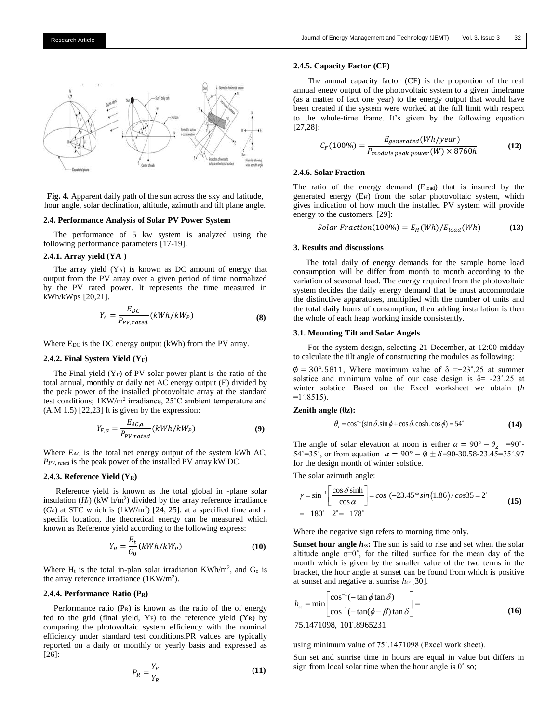

**Fig. 4.** Apparent daily path of the sun across the sky and latitude, hour angle, solar declination, altitude, azimuth and tilt plane angle.

# **2.4. Performance Analysis of Solar PV Power System**

 The performance of 5 kw system is analyzed using the following performance parameters [17-19].

# **2.4.1. Array yield (YA )**

The array yield  $(Y_A)$  is known as DC amount of energy that output from the PV array over a given period of time normalized by the PV rated power. It represents the time measured in kWh/kWps [20,21].

$$
Y_A = \frac{E_{DC}}{P_{PV,rated}} (kWh/kW_P)
$$
 (8)

Where  $E_{DC}$  is the DC energy output (kWh) from the PV array.

# **2.4.2. Final System Yield (YF)**

The Final yield  $(Y_F)$  of PV solar power plant is the ratio of the total annual, monthly or daily net AC energy output (E) divided by the peak power of the installed photovoltaic array at the standard test conditions; 1KW/m<sup>2</sup> irradiance, 25°C ambient temperature and (A.M 1.5) [22,23] It is given by the expression:

$$
Y_{F,a} = \frac{E_{AC,a}}{P_{PV,rated}} (kWh/kW_P)
$$
\n(9)

Where *E*<sub>AC</sub> is the total net energy output of the system kWh AC, *PPV, rated* is the peak power of the installed PV array kW DC.

# **2.4.3. Reference Yield (YR)**

 Reference yield is known as the total global in -plane solar insulation  $(H_t)$  (kW h/m<sup>2</sup>) divided by the array reference irradiance  $(G<sub>o</sub>)$  at STC which is  $(1 \text{kW/m}^2)$  [24, 25]. at a specified time and a specific location, the theoretical energy can be measured which known as Reference yield according to the following express:

$$
Y_R = \frac{E_t}{G_0} (kWh/kW_P) \tag{10}
$$

Where  $H_t$  is the total in-plan solar irradiation KWh/m<sup>2</sup>, and  $G_0$  is the array reference irradiance  $(1KW/m^2)$ .

# **2.4.4. Performance Ratio (PR)**

Performance ratio  $(P_R)$  is known as the ratio of the of energy fed to the grid (final yield,  $Y_F$ ) to the reference yield  $(Y_R)$  by comparing the photovoltaic system efficiency with the nominal efficiency under standard test conditions.PR values are typically reported on a daily or monthly or yearly basis and expressed as [26]:

$$
P_R = \frac{Y_F}{Y_R} \tag{11}
$$

# **2.4.5. Capacity Factor (CF)**

 The annual capacity factor (CF) is the proportion of the real annual enegy output of the photovoltaic system to a given timeframe (as a matter of fact one year) to the energy output that would have been created if the system were worked at the full limit with respect to the whole-time frame. It's given by the following equation [27,28]:

$$
C_F(100\%) = \frac{E_{generated}(Wh/year)}{P_{module\ peak\ power}(W) \times 8760h}
$$
 (12)

# **2.4.6. Solar Fraction**

The ratio of the energy demand (Eload) that is insured by the generated energy (EH) from the solar photovoltaic system, which gives indication of how much the installed PV system will provide energy to the customers. [29]:

$$
Solar Fraction(100\%) = E_H(Wh)/E_{load}(Wh)
$$
 (13)

# **3. Results and discussions**

 The total daily of energy demands for the sample home load consumption will be differ from month to month according to the variation of seasonal load. The energy required from the photovoltaic system decides the daily energy demand that be must accommodate the distinctive apparatuses, multiplied with the number of units and the total daily hours of consumption, then adding installation is then the whole of each heap working inside consistently.

# **3.1. Mounting Tilt and Solar Angels**

 For the system design, selecting 21 December, at 12:00 midday to calculate the tilt angle of constructing the modules as following:

 $\varphi = 30^{\circ}$ . 5811, Where maximum value of  $\delta = +23^{\circ}$ . 25 at summer solstice and minimum value of our case design is  $\delta$  = -23°.25 at winter solstice. Based on the Excel worksheet we obtain (*h*  $=1^{\circ}.8515$ ).

# **Zenith angle (θz):**

$$
\theta_z = \cos^{-1}(\sin \delta \cdot \sin \phi + \cos \delta \cdot \cosh \cdot \cos \phi) = 54^{\circ}
$$
 (14)

The angle of solar elevation at noon is either  $\alpha = 90^{\circ} - \theta_z = 90^{\circ}$ . 54°=35°, or from equation  $\alpha = 90^{\circ} - \phi \pm \delta = 90.5823.45 = 35^{\circ} .97$ for the design month of winter solstice.

The solar azimuth angle:  
\n
$$
\gamma = \sin^{-1} \left[ \frac{\cos \delta \sinh}{\cos \alpha} \right] = \cos (-23.45 \times \sin (1.86) / \cos 35 = 2^{\circ}
$$
\n
$$
= -180^{\circ} + 2^{\circ} = -178^{\circ}
$$
\n(15)

Where the negative sign refers to morning time only.

**Sunset hour angle**  $h_{ss}$ **:** The sun is said to rise and set when the solar altitude angle  $\alpha=0^{\circ}$ , for the tilted surface for the mean day of the month which is given by the smaller value of the two terms in the bracket, the hour angle at sunset can be found from which is positive at sunset and negative at sunrise *hsr* [30].

$$
h_{ss} = \min \left[ \frac{\cos^{-1}(-\tan \phi \tan \delta)}{\cos^{-1}(-\tan(\phi - \beta)\tan \delta)} \right] =
$$
\n(16)

using minimum value of 75˚.1471098 (Excel work sheet).

Sun set and sunrise time in hours are equal in value but differs in sign from local solar time when the hour angle is 0˚ so;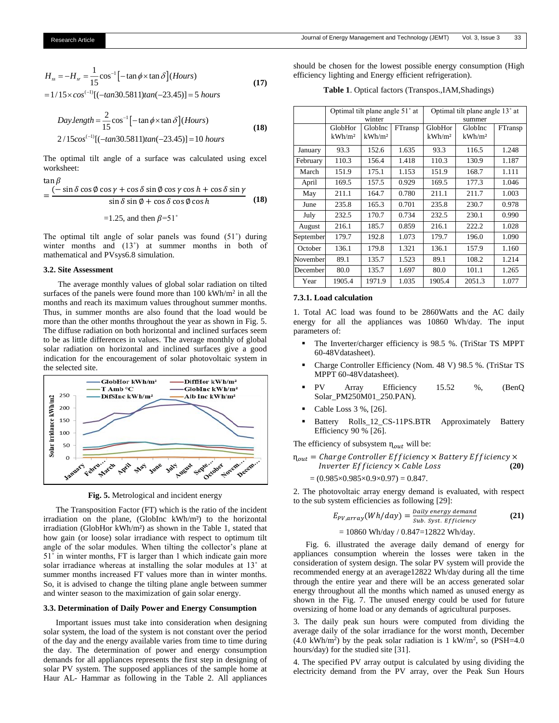$$
H_{ss} = -H_{sr} = \frac{1}{15} \cos^{-1} \left[ -\tan \phi \times \tan \delta \right] (Hours)
$$
  
= 1/15×cos<sup>(-1)</sup> [(-tan30.5811)tan(-23.45)] = 5 hours (17)

$$
Day.length = \frac{2}{15} \cos^{-1} \left[ -\tan \phi \times \tan \delta \right] (Hours)
$$
  
2/15cos<sup>(-1)</sup> [(-tan30.5811)tan(-23.45)] = 10 hours (18)

The optimal tilt angle of a surface was calculated using excel worksheet:

$$
\tan \beta
$$

$$
= \frac{(-\sin\delta\cos\phi\cos\gamma + \cos\delta\sin\phi\cos\gamma\cos h + \cos\delta\sin\gamma}{\sin\delta\sin\phi + \cos\delta\cos\phi\cos h}
$$
 (18)

=1.25, and then  $\beta$ =51<sup>°</sup>

The optimal tilt angle of solar panels was found (51˚) during winter months and (13<sup>°</sup>) at summer months in both of mathematical and PVsys6.8 simulation.

# **3.2. Site Assessment**

 The average monthly values of global solar radiation on tilted surfaces of the panels were found more than 100 kWh/m<sup>2</sup> in all the months and reach its maximum values throughout summer months. Thus, in summer months are also found that the load would be more than the other months throughout the year as shown in Fig. 5. The diffuse radiation on both horizontal and inclined surfaces seem to be as little differences in values. The average monthly of global solar radiation on horizontal and inclined surfaces give a good indication for the encouragement of solar photovoltaic system in the selected site.



**Fig. 5.** Metrological and incident energy

 The Transposition Factor (FT) which is the ratio of the incident irradiation on the plane, (GlobInc kWh/m²) to the horizontal irradiation (GlobHor kWh/m²) as shown in the Table 1, stated that how gain (or loose) solar irradiance with respect to optimum tilt angle of the solar modules. When tilting the collector's plane at 51˚ in winter months, FT is larger than 1 which indicate gain more solar irradiance whereas at installing the solar modules at 13˚ at summer months increased FT values more than in winter months. So, it is advised to change the tilting plane angle between summer and winter season to the maximization of gain solar energy.

# **3.3. Determination of Daily Power and Energy Consumption**

 Important issues must take into consideration when designing solar system, the load of the system is not constant over the period of the day and the energy available varies from time to time during the day. The determination of power and energy consumption demands for all appliances represents the first step in designing of solar PV system. The supposed appliances of the sample home at Haur AL- Hammar as following in the Table 2. All appliances

should be chosen for the lowest possible energy consumption (High efficiency lighting and Energy efficient refrigeration).

**Table 1**. Optical factors (Transpos.,IAM,Shadings)

|           | Optimal tilt plane angle 51° at |                    |         | Optimal tilt plane angle 13° at |                    |         |  |
|-----------|---------------------------------|--------------------|---------|---------------------------------|--------------------|---------|--|
|           |                                 | winter             |         |                                 | summer             |         |  |
|           | GlobHor                         | GlobInc            | FTransp | GlobHor                         | GlobInc            | FTransp |  |
|           | kWh/m <sup>2</sup>              | kWh/m <sup>2</sup> |         | kWh/m <sup>2</sup>              | kWh/m <sup>2</sup> |         |  |
| January   | 93.3                            | 152.6              | 1.635   | 93.3                            | 116.5              | 1.248   |  |
| February  | 110.3                           | 156.4              | 1.418   | 110.3                           | 130.9              | 1.187   |  |
| March     | 151.9                           | 175.1              | 1.153   | 151.9                           | 168.7              | 1.111   |  |
| April     | 169.5                           | 157.5              | 0.929   | 169.5                           | 177.3              | 1.046   |  |
| May       | 211.1                           | 164.7              | 0.780   | 211.1                           | 211.7              | 1.003   |  |
| June      | 235.8                           | 165.3              | 0.701   | 235.8                           | 230.7              | 0.978   |  |
| July      | 232.5                           | 170.7              | 0.734   | 232.5                           | 230.1              | 0.990   |  |
| August    | 216.1                           | 185.7              | 0.859   | 216.1                           | 222.2              | 1.028   |  |
| September | 179.7                           | 192.8              | 1.073   | 179.7                           | 196.0              | 1.090   |  |
| October   | 136.1                           | 179.8              | 1.321   | 136.1                           | 157.9              | 1.160   |  |
| November  | 89.1                            | 135.7              | 1.523   | 89.1                            | 108.2              | 1.214   |  |
| December  | 80.0                            | 135.7              | 1.697   | 80.0                            | 101.1              | 1.265   |  |
| Year      | 1905.4                          | 1971.9             | 1.035   | 1905.4                          | 2051.3             | 1.077   |  |

# **7.3.1. Load calculation**

1. Total AC load was found to be 2860Watts and the AC daily energy for all the appliances was 10860 Wh/day. The input parameters of:

- The Inverter/charger efficiency is 98.5 %. (TriStar TS MPPT 60-48Vdatasheet).
- Charge Controller Efficiency (Nom. 48 V) 98.5 %. (TriStar TS MPPT 60-48Vdatasheet).
- PV Array Efficiency 15.52 %, (BenQ Solar\_PM250M01\_250.PAN).
- Cable Loss  $3\%$ ,  $[26]$ .
- Battery Rolls\_12\_CS-11PS.BTR Approximately Battery Efficiency 90 % [26].

The efficiency of subsystem  $\eta_{out}$  will be:

# $n_{out}$  = Charge Controller Efficiency  $\times$  Battery Efficiency  $\times$  $$

 $=(0.985\times0.985\times0.9\times0.97) = 0.847.$ 

2. The photovoltaic array energy demand is evaluated, with respect to the sub system efficiencies as following [29]:

$$
E_{PV,array}(Wh/day) = \frac{Daily\ energy\ demand}{Sub.\ syst.\ Efficiency}
$$
 (21)

 $= 10860$  Wh/day / 0.847=12822 Wh/day.

 Fig. 6. illustrated the average daily demand of energy for appliances consumption wherein the losses were taken in the consideration of system design. The solar PV system will provide the recommended energy at an average12822 Wh/day during all the time through the entire year and there will be an access generated solar energy throughout all the months which named as unused energy as shown in the Fig. 7. The unused energy could be used for future oversizing of home load or any demands of agricultural purposes.

3. The daily peak sun hours were computed from dividing the average daily of the solar irradiance for the worst month, December  $(4.0 \text{ kWh/m}^2)$  by the peak solar radiation is 1 kW/m<sup>2</sup>, so (PSH=4.0) hours/day) for the studied site [31].

4. The specified PV array output is calculated by using dividing the electricity demand from the PV array, over the Peak Sun Hours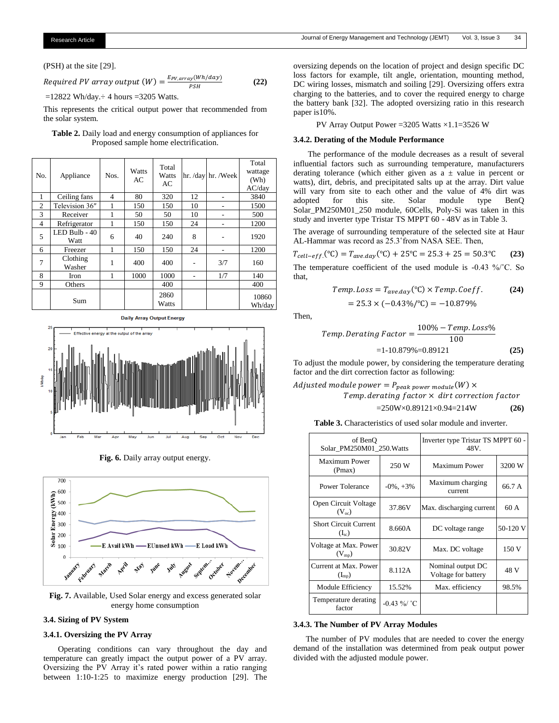(PSH) at the site [29].

Required PV array output 
$$
(W) = \frac{E_{PV,array}(Wh/day)}{PSH}
$$
 (22)

 $=12822$  Wh/day. $\div$  4 hours =3205 Watts.

This represents the critical output power that recommended from the solar system.

# **Table 2.** Daily load and energy consumption of appliances for Proposed sample home electrification.

| No.            | Appliance             | Nos.           | Watts<br>AC | Total<br>Watts<br>AC |    | hr. /day hr. /Week | Total<br>wattage<br>(Wh)<br>AC/day |
|----------------|-----------------------|----------------|-------------|----------------------|----|--------------------|------------------------------------|
| 1              | Ceiling fans          | $\overline{4}$ | 80          | 320                  | 12 |                    | 3840                               |
| $\overline{c}$ | Television 36"        | 1              | 150         | 150                  | 10 |                    | 1500                               |
| 3              | Receiver              | 1              | 50          | 50                   | 10 |                    | 500                                |
| $\overline{4}$ | Refrigerator          |                | 150         | 150                  | 24 |                    | 1200                               |
| 5              | LED Bulb - 40<br>Watt | 6              | 40          | 240                  | 8  |                    | 1920                               |
| 6              | Freezer               | 1              | 150         | 150                  | 24 |                    | 1200                               |
| 7              | Clothing<br>Washer    | 1              | 400         | 400                  |    | 3/7                | 160                                |
| 8              | Iron                  | 1              | 1000        | 1000                 |    | 1/7                | 140                                |
| 9              | Others                |                |             | 400                  |    |                    | 400                                |
|                | Sum                   |                |             | 2860<br>Watts        |    |                    | 10860<br>Wh/day                    |





**Fig. 6.** Daily array output energy.



**Fig. 7.** Available, Used Solar energy and excess generated solar energy home consumption

# **3.4. Sizing of PV System**

# **3.4.1. Oversizing the PV Array**

 Operating conditions can vary throughout the day and temperature can greatly impact the output power of a PV array. Oversizing the PV Array it's rated power within a ratio ranging between 1:10-1:25 to maximize energy production [29]. The

oversizing depends on the location of project and design specific DC loss factors for example, tilt angle, orientation, mounting method, DC wiring losses, mismatch and soiling [29]. Oversizing offers extra charging to the batteries, and to cover the required energy to charge the battery bank [32]. The adopted oversizing ratio in this research paper is10%.

PV Array Output Power =3205 Watts ×1.1=3526 W

# **3.4.2. Derating of the Module Performance**

 The performance of the module decreases as a result of several influential factors such as surrounding temperature, manufacturers derating tolerance (which either given as  $a \pm$  value in percent or watts), dirt, debris, and precipitated salts up at the array. Dirt value will vary from site to each other and the value of 4% dirt was adopted for this site. Solar module type BenQ Solar\_PM250M01\_250 module, 60Cells, Poly-Si was taken in this study and inverter type Tristar TS MPPT 60 - 48V as in Table 3.

The average of surrounding temperature of the selected site at Haur AL-Hammar was record as 25.3˚from NASA SEE. Then,

$$
T_{cell-eff.}({}^{\circ}\text{C}) = T_{ave.day}({}^{\circ}\text{C}) + 25{}^{\circ}\text{C} = 25.3 + 25 = 50.3{}^{\circ}\text{C}
$$
 (23)

The temperature coefficient of the used module is -0.43 %/˚C. So that,

Temp. Loss = 
$$
T_{ave,day}(^{\circ}C) \times Temp \cdot Coeff.
$$
 (24)  
= 25.3 × (-0.43%/°C) = -10.879%

Then,

Temp. Derating Factor = 
$$
\frac{100\% - Temp. Loss\%}{100}
$$

$$
= 1 - 10.879\% = 0.89121
$$
 (25)

To adjust the module power, by considering the temperature derating factor and the dirt correction factor as following:

# Adjusted module power =  $P_{peak\ power\ module}(W) \times$ Temp. derating  $factor \times$  dirt correction  $factor$ =250W×0.89121×0.94=214W **(26)**

| <b>Table 3.</b> Characteristics of used solar module and inverter. |  |  |  |  |
|--------------------------------------------------------------------|--|--|--|--|
|--------------------------------------------------------------------|--|--|--|--|

| of BenO<br>Solar PM250M01 250. Watts       |                 | Inverter type Tristar TS MPPT 60 -<br>48V. |          |  |
|--------------------------------------------|-----------------|--------------------------------------------|----------|--|
| <b>Maximum Power</b><br>(Pmax)             | 250 W           | <b>Maximum Power</b>                       | 3200 W   |  |
| Power Tolerance                            | $-0\%$ , $+3\%$ | Maximum charging<br>current                | 66.7 A   |  |
| Open Circuit Voltage<br>$(V_{\infty})$     | 37.86V          | Max. discharging current                   | 60 A     |  |
| <b>Short Circuit Current</b><br>$(I_{sc})$ | 8.660A          | DC voltage range                           | 50-120 V |  |
| Voltage at Max. Power<br>$(V_{mp})$        | 30.82V          | Max. DC voltage                            | 150 V    |  |
| Current at Max. Power<br>$(I_{mp})$        | 8.112A          | Nominal output DC<br>Voltage for battery   | 48 V     |  |
| Module Efficiency                          | 15.52%          | Max. efficiency                            | 98.5%    |  |
| Temperature derating<br>factor             | $-0.43 \%$ °C   |                                            |          |  |

#### **3.4.3. The Number of PV Array Modules**

 The number of PV modules that are needed to cover the energy demand of the installation was determined from peak output power divided with the adjusted module power.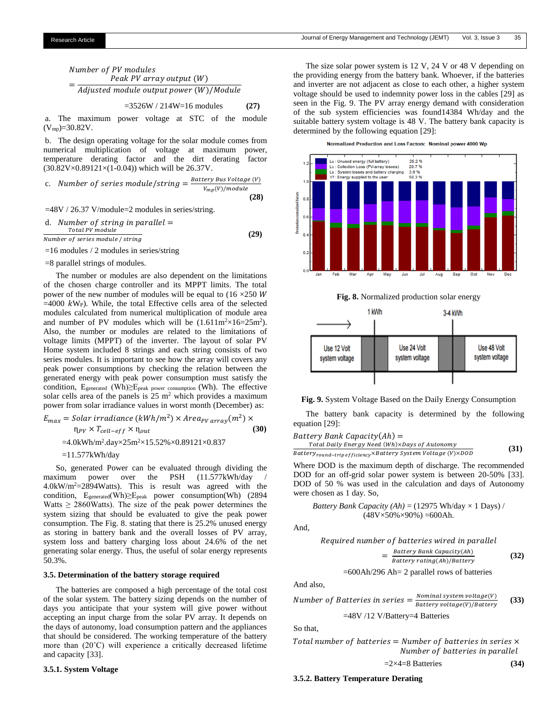Number of PV modules = Peak PV array output  $(W)$ Adjusted module output power (W)/Module

$$
=3526W / 214W=16
$$
 modules (27)

a. The maximum power voltage at STC of the module  $(V_{mp}) = 30.82V$ .

b. The design operating voltage for the solar module comes from numerical multiplication of voltage at maximum power, temperature derating factor and the dirt derating factor  $(30.82V\times0.89121\times(1-0.04))$  which will be 26.37V.

c. Number of series module/string = 
$$
\frac{Battery \, Bus \, Voltage \, (V)}{v_{mp}(V)/module}
$$
 (28)

=48V / 26.37 V/module=2 modules in series/string.

d. Number of string in parallel = 
$$
\frac{Total\ PV\ module}{100\ Number\ of\ series\ module\ /string}
$$
 (29)

=16 modules / 2 modules in series/string

$$
=8
$$
 parallel strings of modules

 The number or modules are also dependent on the limitations of the chosen charge controller and its MPPT limits. The total power of the new number of modules will be equal to  $(16 \times 250)$  W  $=4000$  kW<sub>P</sub>). While, the total Effective cells area of the selected modules calculated from numerical multiplication of module area and number of PV modules which will be  $(1.611 \text{m}^2 \times 16 = 25 \text{m}^2)$ . Also, the number or modules are related to the limitations of voltage limits (MPPT) of the inverter. The layout of solar PV Home system included 8 strings and each string consists of two series modules. It is important to see how the array will covers any peak power consumptions by checking the relation between the generated energy with peak power consumption must satisfy the condition,  $E_{\text{generated}}$  (Wh) $\geq E_{\text{peak power consumption}}$  (Wh). The effective solar cells area of the panels is  $25 \text{ m}^2$  which provides a maximum power from solar irradiance values in worst month (December) as:

$$
E_{max} = Solar\,irradiance\, (kWh/m^2) \times Area_{PV\,array}(m^2) \times
$$
  
\n
$$
n_{PV} \times T_{cell-eff} \times n_{out}
$$
  
\n=4.0kWh/m^2.day \times 25m^2 \times 15.52\% \times 0.89121 \times 0.837

$$
=11.577kWh/day
$$

 So, generated Power can be evaluated through dividing the maximum power over the PSH (11.577kWh/day / 4.0kW/m<sup>2</sup>=2894Watts). This is result was agreed with the condition, Egenerated(Wh)≥Epeak power consumption(Wh) (2894 Watts  $\geq$  2860Watts). The size of the peak power determines the system sizing that should be evaluated to give the peak power consumption. The Fig. 8. stating that there is 25.2% unused energy as storing in battery bank and the overall losses of PV array, system loss and battery charging loss about 24.6% of the net generating solar energy. Thus, the useful of solar energy represents 50.3%.

#### **3.5. Determination of the battery storage required**

 The batteries are composed a high percentage of the total cost of the solar system. The battery sizing depends on the number of days you anticipate that your system will give power without accepting an input charge from the solar PV array. It depends on the days of autonomy, load consumption pattern and the appliances that should be considered. The working temperature of the battery more than (20˚C) will experience a critically decreased lifetime and capacity [33].

# **3.5.1. System Voltage**

 The size solar power system is 12 V, 24 V or 48 V depending on the providing energy from the battery bank. Whoever, if the batteries and inverter are not adjacent as close to each other, a higher system voltage should be used to indemnity power loss in the cables [29] as seen in the Fig. 9. The PV array energy demand with consideration of the sub system efficiencies was found14384 Wh/day and the suitable battery system voltage is 48 V. The battery bank capacity is determined by the following equation [29]:







**Fig. 9.** System Voltage Based on the Daily Energy Consumption

 The battery bank capacity is determined by the following equation [29]:

 $Battery$  Bank Capacity $(Ah) =$ Total Daily Energy Need  $(\overline{Wh})\times$ Days of Autonomy

Battery<sub>round-trip efficiency</sub>×Battery System Voltage (V)×D0D **(31)**

Where DOD is the maximum depth of discharge. The recommended DOD for an off-grid solar power system is between 20-50% [33]. DOD of 50 % was used in the calculation and days of Autonomy were chosen as 1 day. So,

*Battery Bank Capacity (Ah)* = (12975 Wh/day 
$$
\times
$$
 1 Days) / (48V $\times$ 50% $\times$ 90%) =600Ah.

And,

$$
= \frac{Battery Bank Capacity(Ah)}{Battery rating(Ah)/Battery}
$$
(32)

=600Ah/296 Ah= 2 parallel rows of batteries

And also,

Number of Batteries in series = 
$$
\frac{Nominal system voltage(V)}{Battery voltage(V)/Battery}
$$
 (33)

=48V /12 V/Battery=4 Batteries

So that,

Total number of batteries =  $Number$  of batteries in series  $\times$ Number of batteries in parallel

$$
=2\times4=8 \text{ Batteries} \tag{34}
$$

# **3.5.2. Battery Temperature Derating**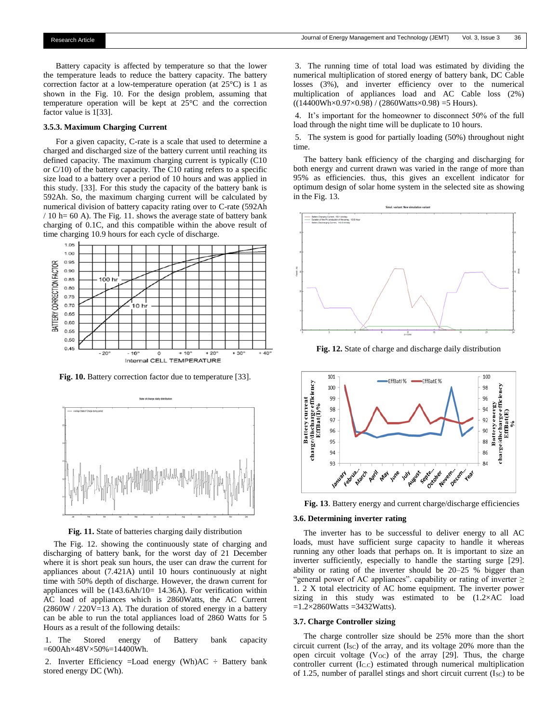Battery capacity is affected by temperature so that the lower the temperature leads to reduce the battery capacity. The battery correction factor at a low-temperature operation (at 25°C) is 1 as shown in the Fig. 10. For the design problem, assuming that temperature operation will be kept at 25°C and the correction factor value is 1[33].

# **3.5.3. Maximum Charging Current**

 For a given capacity, C-rate is a scale that used to determine a charged and discharged size of the battery current until reaching its defined capacity. The maximum charging current is typically (C10 or C/10) of the battery capacity. The C10 rating refers to a specific size load to a battery over a period of 10 hours and was applied in this study. [33]. For this study the capacity of the battery bank is 592Ah. So, the maximum charging current will be calculated by numerical division of battery capacity rating over to C-rate (592Ah  $/ 10$  h= 60 A). The Fig. 11. shows the average state of battery bank charging of 0.1C, and this compatible within the above result of time charging 10.9 hours for each cycle of discharge.



**Fig. 10.** Battery correction factor due to temperature [33].



**Fig. 11.** State of batteries charging daily distribution

 The Fig. 12. showing the continuously state of charging and discharging of battery bank, for the worst day of 21 December where it is short peak sun hours, the user can draw the current for appliances about (7.421A) until 10 hours continuously at night time with 50% depth of discharge. However, the drawn current for appliances will be  $(143.6 \text{Ah}/10= 14.36 \text{A})$ . For verification within AC load of appliances which is 2860Watts, the AC Current  $(2860W / 220V=13 A)$ . The duration of stored energy in a battery can be able to run the total appliances load of 2860 Watts for 5 Hours as a result of the following details:

1. The Stored energy of Battery bank capacity =600Ah×48V×50%=14400Wh.

2. Inverter Efficiency =Load energy (Wh)AC ÷ Battery bank stored energy DC (Wh).

3. The running time of total load was estimated by dividing the numerical multiplication of stored energy of battery bank, DC Cable losses (3%), and inverter efficiency over to the numerical multiplication of appliances load and AC Cable loss (2%)  $((14400Wh \times 0.97 \times 0.98) / (2860Watts \times 0.98) = 5$  Hours).

4. It's important for the homeowner to disconnect 50% of the full load through the night time will be duplicate to 10 hours.

5. The system is good for partially loading (50%) throughout night time.

 The battery bank efficiency of the charging and discharging for both energy and current drawn was varied in the range of more than 95% as efficiencies. thus, this gives an excellent indicator for optimum design of solar home system in the selected site as showing in the Fig. 13.



**Fig. 12.** State of charge and discharge daily distribution





# **3.6. Determining inverter rating**

 The inverter has to be successful to deliver energy to all AC loads, must have sufficient surge capacity to handle it whereas running any other loads that perhaps on. It is important to size an inverter sufficiently, especially to handle the starting surge [29]. ability or rating of the inverter should be 20–25 % bigger than "general power of AC appliances". capability or rating of inverter  $\ge$ 1. 2 X total electricity of AC home equipment. The inverter power sizing in this study was estimated to be  $(1.2 \times AC)^2$  load  $=1.2\times2860W$ atts  $=3432W$ atts).

# **3.7. Charge Controller sizing**

 The charge controller size should be 25% more than the short circuit current  $(I<sub>SC</sub>)$  of the array, and its voltage 20% more than the open circuit voltage (V<sub>OC</sub>) of the array  $[29]$ . Thus, the charge controller current (I<sub>C.C</sub>) estimated through numerical multiplication of 1.25, number of parallel stings and short circuit current (Isc) to be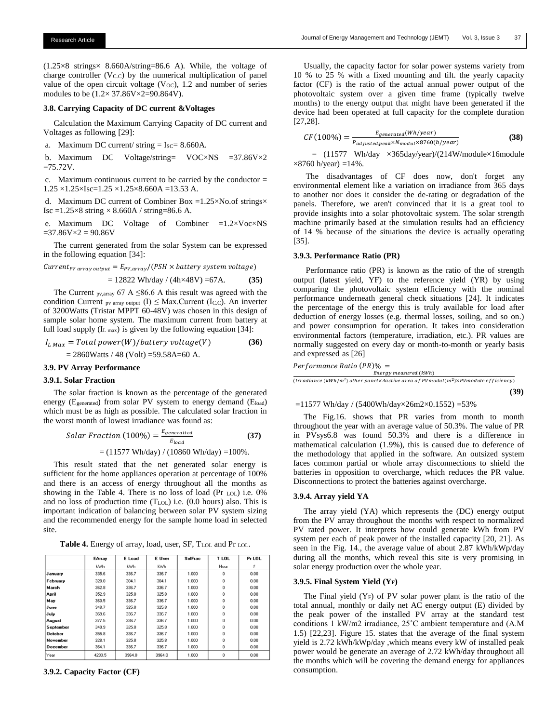$(1.25\times8 \text{ strings} \times 8.660 \text{A} / \text{string} = 86.6 \text{ A})$ . While, the voltage of charge controller  $(V<sub>C.C</sub>)$  by the numerical multiplication of panel value of the open circuit voltage  $(V<sub>OC</sub>)$ , 1.2 and number of series modules to be (1.2× 37.86V×2=90.864V).

# **3.8. Carrying Capacity of DC current &Voltages**

 Calculation the Maximum Carrying Capacity of DC current and Voltages as following [29]:

a. Maximum DC current/ string  $=$  Isc $=$  8.660A.

b. Maximum DC Voltage/string= VOC×NS =37.86V×2  $=75.72V$ .

c. Maximum continuous current to be carried by the conductor  $=$  $1.25 \times 1.25 \times 1$ sc= $1.25 \times 1.25 \times 8.660$ A =13.53 A.

d. Maximum DC current of Combiner Box =1.25×No.of strings× Isc =1.25×8 string  $\times$  8.660A / string=86.6 A.

e. Maximum DC Voltage of Combiner  $=1.2\times\text{Voc}\times\text{NS}$  $=37.86V \times 2 = 90.86V$ 

 The current generated from the solar System can be expressed in the following equation [34]:

 $Current_{PV\ array\ output} = E_{PV, array}/(PSH \times battery\ system\ voltage)$ 

$$
= 12822 \text{ Wh/day} / (4h \times 48V) = 67A. \tag{35}
$$

The Current <sub>pv,array</sub> 67 A  $\leq$ 86.6 A this result was agreed with the condition Current pv array output  $(I) \leq Max$ . Current  $(I_{C.C})$ . An inverter of 3200Watts (Tristar MPPT 60-48V) was chosen in this design of sample solar home system. The maximum current from battery at full load supply  $(L_{\text{max}})$  is given by the following equation [34]:

$$
I_{L \, Max} = Total power(W)/battery \, voltage(V)
$$
\n
$$
= 2860 \, \text{Watts} / 48 \, (\text{Volt}) = 59.58 \, \text{A} = 60 \, \text{A}.
$$
\n(36)

# **3.9. PV Array Performance**

# **3.9.1. Solar Fraction**

 The solar fraction is known as the percentage of the generated energy (Egenerated) from solar PV system to energy demand (Eload) which must be as high as possible. The calculated solar fraction in the worst month of lowest irradiance was found as:

Solar Fraction (100%) = 
$$
\frac{E_{generated}}{E_{load}}
$$
 (37)

\n= (11577 Wh/day) / (10860 Wh/day) = 100%.

 This result stated that the net generated solar energy is sufficient for the home appliances operation at percentage of 100% and there is an access of energy throughout all the months as showing in the Table 4. There is no loss of load (Pr LOL) i.e. 0% and no loss of production time (TLOL) i.e. (0.0 hours) also. This is important indication of balancing between solar PV system sizing and the recommended energy for the sample home load in selected site.

Table 4. Energy of array, load, user, SF, T<sub>LOL</sub> and Pr<sub>LOL</sub>.

|                | EArray | E Load | E User | <b>SolFrac</b> | T LOL        | Pr LOL |
|----------------|--------|--------|--------|----------------|--------------|--------|
|                | kWh    | kWh    | kWh    |                | Hour         | z      |
| January        | 335.6  | 336.7  | 336.7  | 1.000          | $\Omega$     | 0.00   |
| February       | 328.0  | 304.1  | 304.1  | 1.000          | $\Omega$     | 0.00   |
| March          | 362.8  | 336.7  | 336.7  | 1.000          | $\Omega$     | 0.00   |
| April          | 352.9  | 325.8  | 325.8  | 1.000          | $\Omega$     | 0.00   |
| May            | 360.5  | 336.7  | 336.7  | 1.000          | $\Omega$     | 0.00   |
| June           | 348.7  | 325.8  | 325.8  | 1.000          | $\Omega$     | 0.00   |
| July           | 369.6  | 336.7  | 336.7  | 1.000          | $\Omega$     | 0.00   |
| August         | 377.5  | 336.7  | 336.7  | 1.000          | $\Omega$     | 0.00   |
| September      | 349.9  | 325.8  | 325.8  | 1.000          | $\Omega$     | 0.00   |
| <b>October</b> | 355.8  | 336.7  | 336.7  | 1.000          | $\Omega$     | 0.00   |
| November       | 328.1  | 325.8  | 325.8  | 1.000          | $\Omega$     | 0.00   |
| December       | 364.1  | 336.7  | 336.7  | 1.000          | 0            | 0.00   |
| Year           | 4233.5 | 3964.0 | 3964.0 | 1.000          | $\mathbf{0}$ | 0.00   |

**3.9.2. Capacity Factor (CF)**

 Usually, the capacity factor for solar power systems variety from 10 % to 25 % with a fixed mounting and tilt. the yearly capacity factor (CF) is the ratio of the actual annual power output of the photovoltaic system over a given time frame (typically twelve months) to the energy output that might have been generated if the device had been operated at full capacity for the complete duration [27,28].

$$
CF(100\%) = \frac{E_{generated}(Wh/year)}{P_{adjusted,peak} \times N_{modul} \times 8760(h/year)}
$$
(38)

 $=$  (11577 Wh/day  $\times$ 365day/year)/(214W/module $\times$ 16module  $\times$ 8760 h/year) =14%.

 The disadvantages of CF does now, don't forget any environmental element like a variation on irradiance from 365 days to another nor does it consider the de-rating or degradation of the panels. Therefore, we aren't convinced that it is a great tool to provide insights into a solar photovoltaic system. The solar strength machine primarily based at the simulation results had an efficiency of 14 % because of the situations the device is actually operating [35].

#### **3.9.3. Performance Ratio (PR)**

 Performance ratio (PR) is known as the ratio of the of strength output (latest yield, YF) to the reference yield (YR) by using comparing the photovoltaic system efficiency with the nominal performance underneath general check situations [24]. It indicates the percentage of the energy this is truly available for load after deduction of energy losses (e.g. thermal losses, soiling, and so on.) and power consumption for operation. It takes into consideration environmental factors (temperature, irradiation, etc.). PR values are normally suggested on every day or month-to-month or yearly basis and expressed as [26]

 $Performance Ratio (PR) \% =$ 

Energy measured (kWh) Energy measurea (κwn)<br>(Irradiance (kWh/m²) other panel×Aactive area of PVmodul(m²)×PVmodule efficiency)

 **(39)**

 $=11577$  Wh/day / (5400Wh/day×26m2×0.1552) =53%

 The Fig.16. shows that PR varies from month to month throughout the year with an average value of 50.3%. The value of PR in PVsys6.8 was found 50.3% and there is a difference in mathematical calculation (1.9%), this is caused due to deference of the methodology that applied in the software. An outsized system faces common partial or whole array disconnections to shield the batteries in opposition to overcharge, which reduces the PR value. Disconnections to protect the batteries against overcharge.

# **3.9.4. Array yield YA**

 The array yield (YA) which represents the (DC) energy output from the PV array throughout the months with respect to normalized PV rated power. It interprets how could generate kWh from PV system per each of peak power of the installed capacity [20, 21]. As seen in the Fig. 14., the average value of about 2.87 kWh/kWp/day during all the months, which reveal this site is very promising in solar energy production over the whole year.

# **3.9.5. Final System Yield (YF)**

The Final yield  $(Y_F)$  of PV solar power plant is the ratio of the total annual, monthly or daily net AC energy output (E) divided by the peak power of the installed PV array at the standard test conditions 1 kW/m2 irradiance, 25˚C ambient temperature and (A.M 1.5) [22,23]. Figure 15. states that the average of the final system yield is 2.72 kWh/kWp/day ,which means every kW of installed peak power would be generate an average of 2.72 kWh/day throughout all the months which will be covering the demand energy for appliances consumption.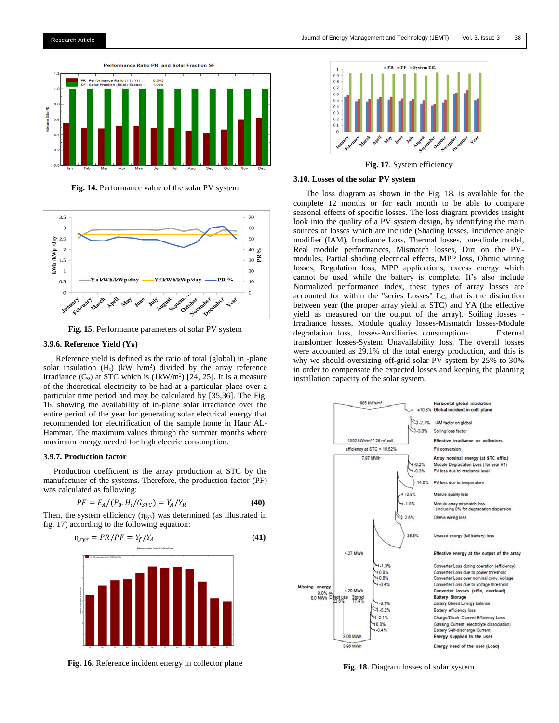

**Fig. 14.** Performance value of the solar PV system



**Fig. 15.** Performance parameters of solar PV system

#### **3.9.6. Reference Yield (YR)**

 Reference yield is defined as the ratio of total (global) in -plane solar insulation  $(H_t)$  (kW  $h/m^2$ ) divided by the array reference irradiance  $(G<sub>o</sub>)$  at STC which is  $(1kW/m<sup>2</sup>)$  [24, 25]. It is a measure of the theoretical electricity to be had at a particular place over a particular time period and may be calculated by [35,36]. The Fig. 16. showing the availability of in-plane solar irradiance over the entire period of the year for generating solar electrical energy that recommended for electrification of the sample home in Haur AL-Hammar. The maximum values through the summer months where maximum energy needed for high electric consumption.

## **3.9.7. Production factor**

 Production coefficient is the array production at STC by the manufacturer of the systems. Therefore, the production factor (PF) was calculated as following:

$$
PF = E_A / (P_0. H_i / G_{STC}) = Y_A / Y_R
$$
\n(40)

Then, the system efficiency  $(\eta_{sys})$  was determined (as illustrated in fig. 17) according to the following equation:

$$
n_{\text{sys}} = PR/PF = Y_f/Y_A \tag{41}
$$



**Fig. 16.** Reference incident energy in collector plane



**Fig. 17**. System efficiency

# **3.10. Losses of the solar PV system**

 The loss diagram as shown in the Fig. 18. is available for the complete 12 months or for each month to be able to compare seasonal effects of specific losses. The loss diagram provides insight look into the quality of a PV system design, by identifying the main sources of losses which are include (Shading losses, Incidence angle modifier (IAM), Irradiance Loss, Thermal losses, one-diode model, Real module performances, Mismatch losses, Dirt on the PVmodules, Partial shading electrical effects, MPP loss, Ohmic wiring losses, Regulation loss, MPP applications, excess energy which cannot be used while the battery is complete. It's also include Normalized performance index, these types of array losses are accounted for within the "series Losses" LC, that is the distinction between year (the proper array yield at STC) and YA (the effective yield as measured on the output of the array). Soiling losses - Irradiance losses, Module quality losses-Mismatch losses-Module degradation loss, losses-Auxiliaries consumption- External transformer losses-System Unavailability loss. The overall losses were accounted as 29.1% of the total energy production, and this is why we should oversizing off-grid solar PV system by 25% to 30% in order to compensate the expected losses and keeping the planning installation capacity of the solar system.



**Fig. 18.** Diagram losses of solar system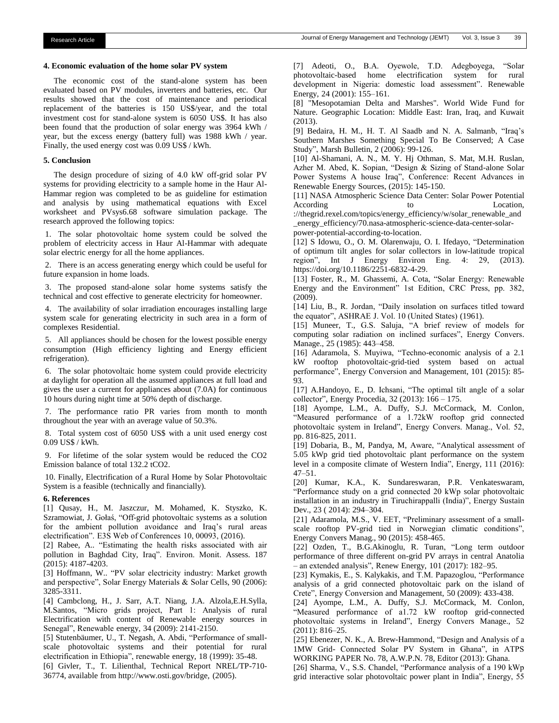#### **4. Economic evaluation of the home solar PV system**

 The economic cost of the stand-alone system has been evaluated based on PV modules, inverters and batteries, etc. Our results showed that the cost of maintenance and periodical replacement of the batteries is 150 US\$/year, and the total investment cost for stand-alone system is 6050 US\$. It has also been found that the production of solar energy was 3964 kWh / year, but the excess energy (battery full) was 1988 kWh / year. Finally, the used energy cost was 0.09 US\$ / kWh.

# **5. Conclusion**

 The design procedure of sizing of 4.0 kW off-grid solar PV systems for providing electricity to a sample home in the Haur Al-Hammar region was completed to be as guideline for estimation and analysis by using mathematical equations with Excel worksheet and PVsys6.68 software simulation package. The research approved the following topics:

1. The solar photovoltaic home system could be solved the problem of electricity access in Haur Al-Hammar with adequate solar electric energy for all the home appliances.

2. There is an access generating energy which could be useful for future expansion in home loads.

3. The proposed stand-alone solar home systems satisfy the technical and cost effective to generate electricity for homeowner.

4. The availability of solar irradiation encourages installing large system scale for generating electricity in such area in a form of complexes Residential.

5. All appliances should be chosen for the lowest possible energy consumption (High efficiency lighting and Energy efficient refrigeration).

6. The solar photovoltaic home system could provide electricity at daylight for operation all the assumed appliances at full load and gives the user a current for appliances about (7.0A) for continuous 10 hours during night time at 50% depth of discharge.

7. The performance ratio PR varies from month to month throughout the year with an average value of 50.3%.

8. Total system cost of 6050 US\$ with a unit used energy cost 0.09 US\$ / kWh.

9. For lifetime of the solar system would be reduced the CO2 Emission balance of total 132.2 tCO2.

10. Finally, Electrification of a Rural Home by Solar Photovoltaic System is a feasible (technically and financially).

#### **6. References**

[1] Qusay, H., M. Jaszczur, M. Mohamed, K. Styszko, K. Szramowiat, J. Gołaś, "Off-grid photovoltaic systems as a solution for the ambient pollution avoidance and Iraq's rural areas electrification". E3S Web of Conferences 10, 00093, (2016).

[2] Rabee, A.. "Estimating the health risks associated with air pollution in Baghdad City, Iraq". Environ. Monit. Assess. 187 (2015): 4187-4203.

[3] Hoffmann, W.. "PV solar electricity industry: Market growth and perspective", Solar Energy Materials & Solar Cells, 90 (2006): 3285-3311.

[4] Cambclong, H., J. Sarr, A.T. Niang, J.A. Alzola,E.H.Sylla, M.Santos, "Micro grids project, Part 1: Analysis of rural Electrification with content of Renewable energy sources in Senegal", Renewable energy, 34 (2009): 2141-2150.

[5] Stutenbäumer, U., T. Negash, A. Abdi, "Performance of smallscale photovoltaic systems and their potential for rural electrification in Ethiopia", renewable energy, 18 (1999): 35-48.

[6] Givler, T., T. Lilienthal, Technical Report NREL/TP-710- 36774, available from http://www.osti.gov/bridge, (2005).

[7] Adeoti, O., B.A. Oyewole, T.D. Adegboyega, "Solar photovoltaic-based home electrification system for rural development in Nigeria: domestic load assessment". Renewable Energy, 24 (2001): 155–161.

[8] "Mesopotamian Delta and Marshes". World Wide Fund for Nature. Geographic Location: Middle East: Iran, Iraq, and Kuwait (2013).

[9] Bedaira, H. M., H. T. Al Saadb and N. A. Salmanb, "Iraq's Southern Marshes Something Special To Be Conserved; A Case Study", Marsh Bulletin, 2 (2006): 99-126.

[10] Al-Shamani, A. N., M. Y. Hj Othman, S. Mat, M.H. Ruslan, Azher M. Abed, K. Sopian, "Design & Sizing of Stand-alone Solar Power Systems A house Iraq", Conference: Recent Advances in Renewable Energy Sources, (2015): 145-150.

[11] NASA Atmospheric Science Data Center: Solar Power Potential According to Location,

://thegrid.rexel.com/topics/energy\_efficiency/w/solar\_renewable\_and \_energy\_efficiency/70.nasa-atmospheric-science-data-center-solarpower-potential-according-to-location.

[12] S Idowu, O., O. M. Olarenwaju, O. I. Ifedayo, "Determination of optimum tilt angles for solar collectors in low-latitude tropical region", Int J Energy Environ Eng. 4: 29, (2013). https://doi.org/10.1186/2251-6832-4-29.

[13] Foster, R., M. Ghassemi, A. Cota, "Solar Energy: Renewable Energy and the Environment" 1st Edition, CRC Press, pp. 382, (2009).

[14] Liu, B., R. Jordan, "Daily insolation on surfaces titled toward the equator", ASHRAE J. Vol. 10 (United States) (1961).

[15] Muneer, T., G.S. Saluja, "A brief review of models for computing solar radiation on inclined surfaces", Energy Convers. Manage., 25 (1985): 443–458.

[16] Adaramola, S. Muyiwa, "Techno-economic analysis of a 2.1 kW rooftop photovoltaic-grid-tied system based on actual performance", Energy Conversion and Management, 101 (2015): 85- 93.

[17] A.Handoyo, E., D. Ichsani, "The optimal tilt angle of a solar collector", Energy Procedia, 32 (2013): 166 – 175.

[18] Ayompe, L.M., A. Duffy, S.J. McCormack, M. Conlon, "Measured performance of a 1.72kW rooftop grid connected photovoltaic system in Ireland", Energy Convers. Manag., Vol. 52, pp. 816-825, 2011.

[19] Dobaria, B., M, Pandya, M, Aware, "Analytical assessment of 5.05 kWp grid tied photovoltaic plant performance on the system level in a composite climate of Western India", Energy, 111 (2016): 47–51.

[20] Kumar, K.A., K. Sundareswaran, P.R. Venkateswaram, "Performance study on a grid connected 20 kWp solar photovoltaic installation in an industry in Tiruchirappalli (India)", Energy Sustain Dev., 23 ( 2014): 294–304.

[21] Adaramola, M.S., V. EET, "Preliminary assessment of a smallscale rooftop PV-grid tied in Norwegian climatic conditions", Energy Convers Manag., 90 (2015): 458-465.

[22] Ozden, T., B.G.Akinoglu, R. Turan, "Long term outdoor performance of three different on-grid PV arrays in central Anatolia – an extended analysis", Renew Energy, 101 (2017): 182–95.

[23] Kymakis, E., S. Kalykakis, and T.M. Papazoglou, "Performance analysis of a grid connected photovoltaic park on the island of Crete", Energy Conversion and Management, 50 (2009): 433-438.

[24] Ayompe, L.M., A. Duffy, S.J. McCormack, M. Conlon, "Measured performance of a1.72 kW rooftop grid-connected photovoltaic systems in Ireland", Energy Convers Manage., 52 (2011): 816–25.

[25] Ebenezer, N. K., A. Brew-Hammond, "Design and Analysis of a 1MW Grid- Connected Solar PV System in Ghana", in ATPS WORKING PAPER No. 78, A.W.P.N. 78, Editor (2013): Ghana.

[26] Sharma, V., S.S. Chandel, "Performance analysis of a 190 kWp grid interactive solar photovoltaic power plant in India", Energy, 55